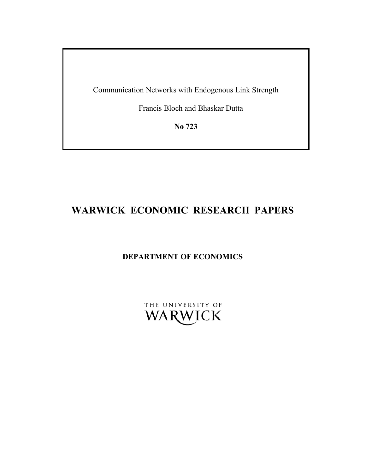Communication Networks with Endogenous Link Strength

Francis Bloch and Bhaskar Dutta

**No 723** 

# **WARWICK ECONOMIC RESEARCH PAPERS**

# **DEPARTMENT OF ECONOMICS**

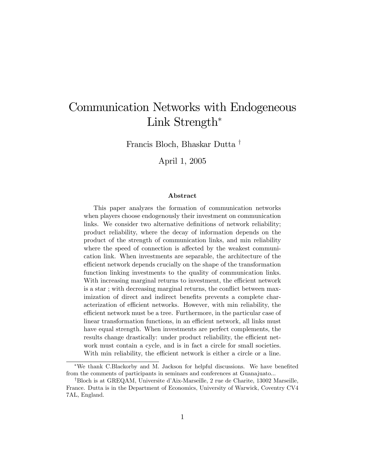# Communication Networks with Endogeneous Link Strength<sup>\*</sup>

Francis Bloch, Bhaskar Dutta<sup>†</sup>

April 1, 2005

#### Abstract

This paper analyzes the formation of communication networks when players choose endogenously their investment on communication links. We consider two alternative definitions of network reliability; product reliability, where the decay of information depends on the product of the strength of communication links, and min reliability where the speed of connection is affected by the weakest communication link. When investments are separable, the architecture of the efficient network depends crucially on the shape of the transformation function linking investments to the quality of communication links. With increasing marginal returns to investment, the efficient network is a star; with decreasing marginal returns, the conflict between maximization of direct and indirect benefits prevents a complete characterization of efficient networks. However, with min reliability, the efficient network must be a tree. Furthermore, in the particular case of linear transformation functions, in an efficient network, all links must have equal strength. When investments are perfect complements, the results change drastically: under product reliability, the efficient network must contain a cycle, and is in fact a circle for small societies. With min reliability, the efficient network is either a circle or a line.

<sup>\*</sup>We thank C.Blackorby and M. Jackson for helpful discussions. We have benefited from the comments of participants in seminars and conferences at Guanajuato...

<sup>&</sup>lt;sup>†</sup>Bloch is at GREQAM, Universite d'Aix-Marseille, 2 rue de Charite, 13002 Marseille, France. Dutta is in the Department of Economics, University of Warwick, Coventry CV4 7AL, England.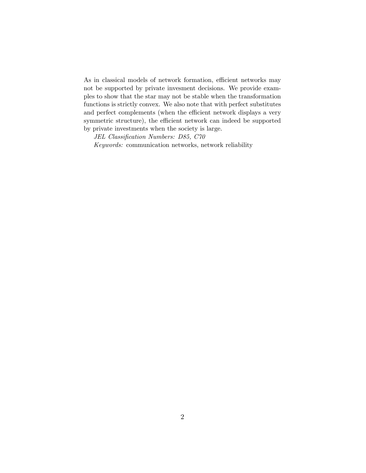As in classical models of network formation, efficient networks may not be supported by private invesment decisions. We provide examples to show that the star may not be stable when the transformation functions is strictly convex. We also note that with perfect substitutes and perfect complements (when the efficient network displays a very symmetric structure), the efficient network can indeed be supported by private investments when the society is large.

JEL Classification Numbers: D85, C70 Keywords: communication networks, network reliability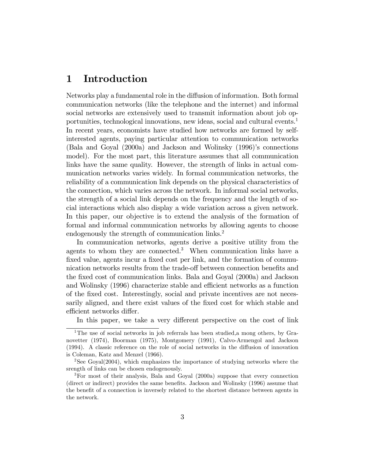# 1 Introduction

Networks play a fundamental role in the diffusion of information. Both formal communication networks (like the telephone and the internet) and informal social networks are extensively used to transmit information about job opportunities, technological innovations, new ideas, social and cultural events.<sup>1</sup> In recent years, economists have studied how networks are formed by selfinterested agents, paying particular attention to communication networks  $(Bala \text{ and } Goyal \text{ (2000a) and Jackson and Wolinsky (1996)$ <sup>'s</sup> connections model). For the most part, this literature assumes that all communication links have the same quality. However, the strength of links in actual communication networks varies widely. In formal communication networks, the reliability of a communication link depends on the physical characteristics of the connection, which varies across the network. In informal social networks, the strength of a social link depends on the frequency and the length of social interactions which also display a wide variation across a given network. In this paper, our objective is to extend the analysis of the formation of formal and informal communication networks by allowing agents to choose endogenously the strength of communication links.<sup>2</sup>

In communication networks, agents derive a positive utility from the agents to whom they are connected.<sup>3</sup> When communication links have a fixed value, agents incur a fixed cost per link, and the formation of communication networks results from the trade-off between connection benefits and the Öxed cost of communication links. Bala and Goyal (2000a) and Jackson and Wolinsky (1996) characterize stable and efficient networks as a function of the Öxed cost. Interestingly, social and private incentives are not necessarily aligned, and there exist values of the fixed cost for which stable and efficient networks differ.

In this paper, we take a very different perspective on the cost of link

<sup>&</sup>lt;sup>1</sup>The use of social networks in job referrals has been studied, a mong others, by Granovetter (1974), Boorman (1975), Montgomery (1991), Calvo-Armengol and Jackson  $(1994)$ . A classic reference on the role of social networks in the diffusion of innovation is Coleman, Katz and Menzel (1966).

<sup>&</sup>lt;sup>2</sup>See Goyal(2004), which emphasizes the importance of studying networks where the srength of links can be chosen endogenously.

<sup>3</sup>For most of their analysis, Bala and Goyal (2000a) suppose that every connection (direct or indirect) provides the same benefits. Jackson and Wolinsky (1996) assume that the benefit of a connection is inversely related to the shortest distance between agents in the network.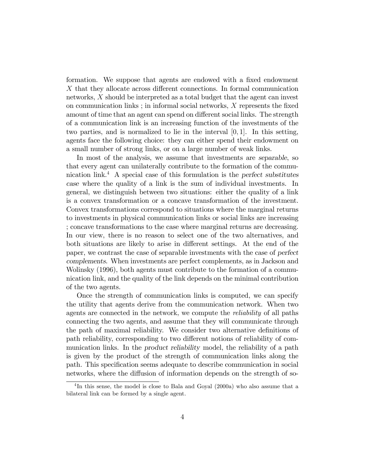formation. We suppose that agents are endowed with a fixed endowment  $X$  that they allocate across different connections. In formal communication networks, X should be interpreted as a total budget that the agent can invest on communication links ; in informal social networks,  $X$  represents the fixed amount of time that an agent can spend on different social links. The strength of a communication link is an increasing function of the investments of the two parties, and is normalized to lie in the interval  $[0, 1]$ . In this setting, agents face the following choice: they can either spend their endowment on a small number of strong links, or on a large number of weak links.

In most of the analysis, we assume that investments are separable, so that every agent can unilaterally contribute to the formation of the communication link.<sup>4</sup> A special case of this formulation is the perfect substitutes case where the quality of a link is the sum of individual investments. In general, we distinguish between two situations: either the quality of a link is a convex transformation or a concave transformation of the investment. Convex transformations correspond to situations where the marginal returns to investments in physical communication links or social links are increasing ; concave transformations to the case where marginal returns are decreasing. In our view, there is no reason to select one of the two alternatives, and both situations are likely to arise in different settings. At the end of the paper, we contrast the case of separable investments with the case of perfect complements. When investments are perfect complements, as in Jackson and Wolinsky (1996), both agents must contribute to the formation of a communication link, and the quality of the link depends on the minimal contribution of the two agents.

Once the strength of communication links is computed, we can specify the utility that agents derive from the communication network. When two agents are connected in the network, we compute the reliability of all paths connecting the two agents, and assume that they will communicate through the path of maximal reliability. We consider two alternative definitions of path reliability, corresponding to two different notions of reliability of communication links. In the product reliability model, the reliability of a path is given by the product of the strength of communication links along the path. This specification seems adequate to describe communication in social networks, where the diffusion of information depends on the strength of so-

<sup>&</sup>lt;sup>4</sup>In this sense, the model is close to Bala and Goyal (2000a) who also assume that a bilateral link can be formed by a single agent.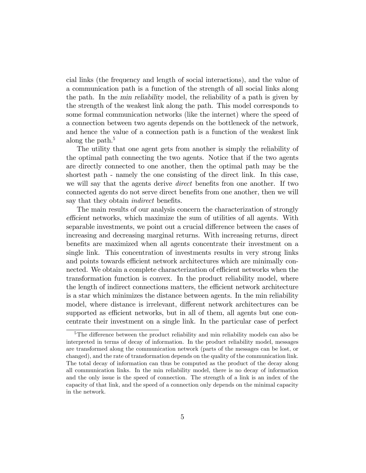cial links (the frequency and length of social interactions), and the value of a communication path is a function of the strength of all social links along the path. In the min reliability model, the reliability of a path is given by the strength of the weakest link along the path. This model corresponds to some formal communication networks (like the internet) where the speed of a connection between two agents depends on the bottleneck of the network, and hence the value of a connection path is a function of the weakest link along the path. $5$ 

The utility that one agent gets from another is simply the reliability of the optimal path connecting the two agents. Notice that if the two agents are directly connected to one another, then the optimal path may be the shortest path - namely the one consisting of the direct link. In this case, we will say that the agents derive *direct* benefits fron one another. If two connected agents do not serve direct benefits from one another, then we will say that they obtain *indirect* benefits.

The main results of our analysis concern the characterization of strongly efficient networks, which maximize the sum of utilities of all agents. With separable investments, we point out a crucial difference between the cases of increasing and decreasing marginal returns. With increasing returns, direct benefits are maximized when all agents concentrate their investment on a single link. This concentration of investments results in very strong links and points towards efficient network architectures which are minimally connected. We obtain a complete characterization of efficient networks when the transformation function is convex. In the product reliability model, where the length of indirect connections matters, the efficient network architecture is a star which minimizes the distance between agents. In the min reliability model, where distance is irrelevant, different network architectures can be supported as efficient networks, but in all of them, all agents but one concentrate their investment on a single link. In the particular case of perfect

 $5$ The difference between the product reliability and min reliability models can also be interpreted in terms of decay of information. In the product reliability model, messages are transformed along the communication network (parts of the messages can be lost, or changed), and the rate of transformation depends on the quality of the communication link. The total decay of information can thus be computed as the product of the decay along all communication links. In the min reliability model, there is no decay of information and the only issue is the speed of connection. The strength of a link is an index of the capacity of that link, and the speed of a connection only depends on the minimal capacity in the network.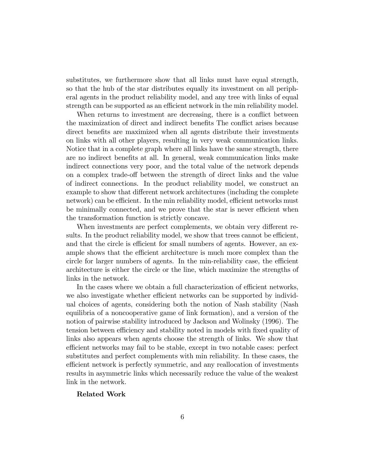substitutes, we furthermore show that all links must have equal strength, so that the hub of the star distributes equally its investment on all peripheral agents in the product reliability model, and any tree with links of equal strength can be supported as an efficient network in the min reliability model.

When returns to investment are decreasing, there is a conflict between the maximization of direct and indirect benefits The conflict arises because direct benefits are maximized when all agents distribute their investments on links with all other players, resulting in very weak communication links. Notice that in a complete graph where all links have the same strength, there are no indirect benefits at all. In general, weak communication links make indirect connections very poor, and the total value of the network depends on a complex trade-off between the strength of direct links and the value of indirect connections. In the product reliability model, we construct an example to show that different network architectures (including the complete network) can be efficient. In the min reliability model, efficient networks must be minimally connected, and we prove that the star is never efficient when the transformation function is strictly concave.

When investments are perfect complements, we obtain very different results. In the product reliability model, we show that trees cannot be efficient, and that the circle is efficient for small numbers of agents. However, an example shows that the efficient architecture is much more complex than the circle for larger numbers of agents. In the min-reliability case, the efficient architecture is either the circle or the line, which maximize the strengths of links in the network.

In the cases where we obtain a full characterization of efficient networks, we also investigate whether efficient networks can be supported by individual choices of agents, considering both the notion of Nash stability (Nash equilibria of a noncooperative game of link formation), and a version of the notion of pairwise stability introduced by Jackson and Wolinsky (1996). The tension between efficiency and stability noted in models with fixed quality of links also appears when agents choose the strength of links. We show that efficient networks may fail to be stable, except in two notable cases: perfect substitutes and perfect complements with min reliability. In these cases, the efficient network is perfectly symmetric, and any reallocation of investments results in asymmetric links which necessarily reduce the value of the weakest link in the network.

#### Related Work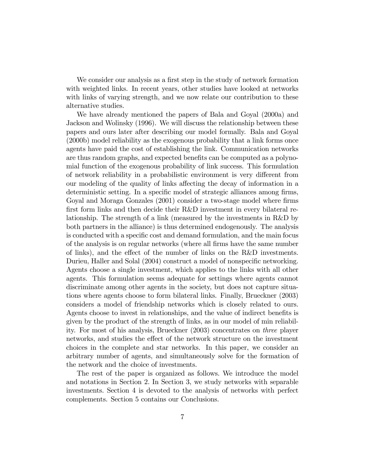We consider our analysis as a first step in the study of network formation with weighted links. In recent years, other studies have looked at networks with links of varying strength, and we now relate our contribution to these alternative studies.

We have already mentioned the papers of Bala and Goyal (2000a) and Jackson and Wolinsky (1996). We will discuss the relationship between these papers and ours later after describing our model formally. Bala and Goyal (2000b) model reliability as the exogenous probability that a link forms once agents have paid the cost of establishing the link. Communication networks are thus random graphs, and expected benefits can be computed as a polynomial function of the exogenous probability of link success. This formulation of network reliability in a probabilistic environment is very different from our modeling of the quality of links affecting the decay of information in a deterministic setting. In a specific model of strategic alliances among firms, Goyal and Moraga Gonzales (2001) consider a two-stage model where firms first form links and then decide their R&D investment in every bilateral relationship. The strength of a link (measured by the investments in R&D by both partners in the alliance) is thus determined endogenously. The analysis is conducted with a specific cost and demand formulation, and the main focus of the analysis is on regular networks (where all Örms have the same number of links), and the effect of the number of links on the  $R&D$  investments. Durieu, Haller and Solal (2004) construct a model of nonspecific networking. Agents choose a single investment, which applies to the links with all other agents. This formulation seems adequate for settings where agents cannot discriminate among other agents in the society, but does not capture situations where agents choose to form bilateral links. Finally, Brueckner (2003) considers a model of friendship networks which is closely related to ours. Agents choose to invest in relationships, and the value of indirect benefits is given by the product of the strength of links, as in our model of min reliability. For most of his analysis, Brueckner (2003) concentrates on three player networks, and studies the effect of the network structure on the investment choices in the complete and star networks. In this paper, we consider an arbitrary number of agents, and simultaneously solve for the formation of the network and the choice of investments.

The rest of the paper is organized as follows. We introduce the model and notations in Section 2. In Section 3, we study networks with separable investments. Section 4 is devoted to the analysis of networks with perfect complements. Section 5 contains our Conclusions.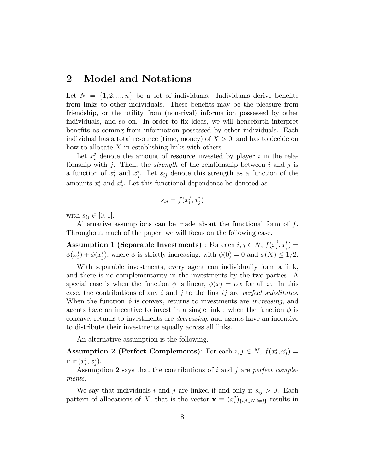# 2 Model and Notations

Let  $N = \{1, 2, ..., n\}$  be a set of individuals. Individuals derive benefits from links to other individuals. These benefits may be the pleasure from friendship, or the utility from (non-rival) information possessed by other individuals, and so on. In order to fix ideas, we will henceforth interpret benefits as coming from information possessed by other individuals. Each individual has a total resource (time, money) of  $X > 0$ , and has to decide on how to allocate  $X$  in establishing links with others.

Let  $x_i^j$  denote the amount of resource invested by player i in the relationship with j. Then, the *strength* of the relationship between i and j is a function of  $x_i^j$  $i$  and  $x_j^i$ . Let  $s_{ij}$  denote this strength as a function of the amounts  $x_i^j$  $i$  and  $x_j^i$ . Let this functional dependence be denoted as

$$
s_{ij} = f(x_i^j, x_j^i)
$$

with  $s_{ij} \in [0, 1].$ 

Alternative assumptions can be made about the functional form of f. Throughout much of the paper, we will focus on the following case.

**Assumption 1 (Separable Investments)** : For each  $i, j \in N$ ,  $f(x_i^j)$  $\big( \begin{smallmatrix} j \ i \end{smallmatrix} ,x_j^i \big)=$  $\phi(x_i^j)$  $\phi_i^j$  +  $\phi(x_j^i)$ , where  $\phi$  is strictly increasing, with  $\phi(0) = 0$  and  $\phi(X) \leq 1/2$ .

With separable investments, every agent can individually form a link, and there is no complementarity in the investments by the two parties. A special case is when the function  $\phi$  is linear,  $\phi(x) = \alpha x$  for all x. In this case, the contributions of any i and j to the link ij are perfect substitutes. When the function  $\phi$  is convex, returns to investments are *increasing*, and agents have an incentive to invest in a single link; when the function  $\phi$  is concave, returns to investments are decreasing, and agents have an incentive to distribute their investments equally across all links.

An alternative assumption is the following.

**Assumption 2 (Perfect Complements)**: For each  $i, j \in N$ ,  $f(x_i^j)$  $\big( \begin{smallmatrix} j \ i \end{smallmatrix} , x_j^i \big) =$  $\min(x_i^j)$  $i^j,x_j^i$ .

Assumption 2 says that the contributions of  $i$  and  $j$  are perfect complements.

We say that individuals i and j are linked if and only if  $s_{ij} > 0$ . Each pattern of allocations of X, that is the vector  $\mathbf{x} \equiv (x_i^j)$  $\binom{J}{i}\substack{i,j\in N, i\neq j}$  results in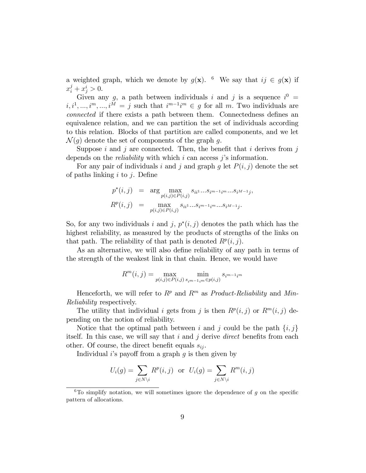a weighted graph, which we denote by  $g(\mathbf{x})$ . <sup>6</sup> We say that  $ij \in g(\mathbf{x})$  if  $x_i^j + x_j^i > 0.$ 

Given any g, a path between individuals i and j is a sequence  $i^0 =$  $i, i^1, ..., i^m, ..., i^M = j$  such that  $i^{m-1}i^m \in g$  for all m. Two individuals are connected if there exists a path between them. Connectedness defines an equivalence relation, and we can partition the set of individuals according to this relation. Blocks of that partition are called components, and we let  $\mathcal{N}(g)$  denote the set of components of the graph g.

Suppose i and j are connected. Then, the benefit that i derives from  $j$ depends on the *reliability* with which  $i$  can access  $j$ 's information.

For any pair of individuals i and j and graph g let  $P(i, j)$  denote the set of paths linking  $i$  to  $j$ . Define

$$
p^*(i, j) = \arg \max_{p(i,j) \in P(i,j)} s_{ii^1}...s_{i^{m-1}i^m}...s_{i^{M-1}j},
$$
  

$$
R^p(i, j) = \max_{p(i,j) \in P(i,j)} s_{ii^1}...s_{i^{m-1}i^m}...s_{i^{M-1}j}.
$$

So, for any two individuals i and j,  $p^*(i, j)$  denotes the path which has the highest reliability, as measured by the products of strengths of the links on that path. The reliability of that path is denoted  $R^p(i, j)$ .

As an alternative, we will also define reliability of any path in terms of the strength of the weakest link in that chain. Hence, we would have

$$
R^{m}(i, j) = \max_{p(i,j) \in P(i,j)} \min_{s_{im-1,m} \in p(i,j)} s_{i^{m-1}i^{m}}
$$

Henceforth, we will refer to  $R^p$  and  $R^m$  as *Product-Reliability* and Min-Reliability respectively.

The utility that individual i gets from j is then  $R^p(i, j)$  or  $R^m(i, j)$  depending on the notion of reliability.

Notice that the optimal path between i and j could be the path  $\{i, j\}$ itself. In this case, we will say that  $i$  and  $j$  derive *direct* benefits from each other. Of course, the direct benefit equals  $s_{ij}$ .

Individual i's payoff from a graph  $q$  is then given by

$$
U_i(g) = \sum_{j \in N \setminus i} R^p(i, j) \text{ or } U_i(g) = \sum_{j \in N \setminus i} R^m(i, j)
$$

<sup>&</sup>lt;sup>6</sup>To simplify notation, we will sometimes ignore the dependence of q on the specific pattern of allocations.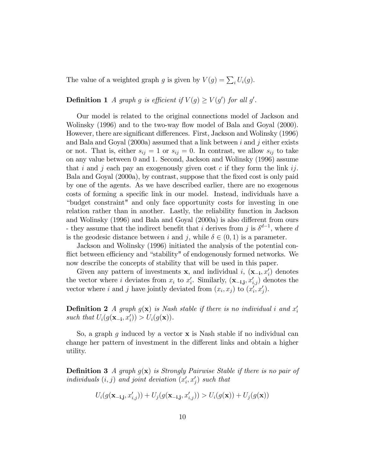The value of a weighted graph g is given by  $V(g) = \sum_i U_i(g)$ .

**Definition 1** A graph g is efficient if  $V(g) \ge V(g')$  for all g'.

Our model is related to the original connections model of Jackson and Wolinsky (1996) and to the two-way flow model of Bala and Goyal (2000). However, there are significant differences. First, Jackson and Wolinsky (1996) and Bala and Goyal  $(2000a)$  assumed that a link between i and j either exists or not. That is, either  $s_{ij} = 1$  or  $s_{ij} = 0$ . In contrast, we allow  $s_{ij}$  to take on any value between 0 and 1. Second, Jackson and Wolinsky (1996) assume that i and j each pay an exogenously given cost  $c$  if they form the link ij. Bala and Goyal (2000a), by contrast, suppose that the fixed cost is only paid by one of the agents. As we have described earlier, there are no exogenous costs of forming a specific link in our model. Instead, individuals have a ìbudget constraint" and only face opportunity costs for investing in one relation rather than in another. Lastly, the reliability function in Jackson and Wolinsky (1996) and Bala and Goyal (2000a) is also different from ours - they assume that the indirect benefit that *i* derives from *j* is  $\delta^{d-1}$ , where *d* is the geodesic distance between i and j, while  $\delta \in (0,1)$  is a parameter.

Jackson and Wolinsky (1996) initiated the analysis of the potential conflict between efficiency and "stability" of endogenously formed networks. We now describe the concepts of stability that will be used in this paper.

Given any pattern of investments **x**, and individual *i*,  $(\mathbf{x}_{-i}, x'_i)$  denotes the vector where *i* deviates from  $x_i$  to  $x'_i$ . Similarly,  $(\mathbf{x}_{-i,j}, x'_{i,j})$  denotes the vector where i and j have jointly deviated from  $(x_i, x_j)$  to  $(x'_i, x'_j)$ .

**Definition 2** A graph  $g(\mathbf{x})$  is Nash stable if there is no individual i and  $x_i'$ such that  $U_i(g(\mathbf{x}_{-i}, x'_i)) > U_i(g(\mathbf{x})).$ 

So, a graph g induced by a vector  $x$  is Nash stable if no individual can change her pattern of investment in the different links and obtain a higher utility.

**Definition 3** A graph  $g(x)$  is Strongly Pairwise Stable if there is no pair of individuals  $(i, j)$  and joint deviation  $(x'_i, x'_j)$  such that

$$
U_i(g(\mathbf{x}_{-i,j}, x'_{i,j})) + U_j(g(\mathbf{x}_{-i,j}, x'_{i,j})) > U_i(g(\mathbf{x})) + U_j(g(\mathbf{x}))
$$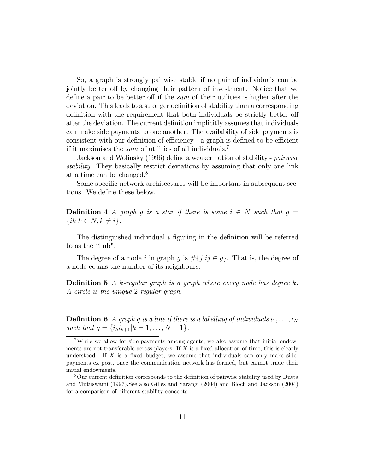So, a graph is strongly pairwise stable if no pair of individuals can be jointly better off by changing their pattern of investment. Notice that we define a pair to be better off if the sum of their utilities is higher after the deviation. This leads to a stronger definition of stability than a corresponding definition with the requirement that both individuals be strictly better of after the deviation. The current definition implicitly assumes that individuals can make side payments to one another. The availability of side payments is consistent with our definition of efficiency - a graph is defined to be efficient if it maximises the *sum* of utilities of all individuals.<sup>7</sup>

Jackson and Wolinsky (1996) define a weaker notion of stability - *pairwise* stability. They basically restrict deviations by assuming that only one link at a time can be changed.<sup>8</sup>

Some specific network architectures will be important in subsequent sections. We define these below.

**Definition 4** A graph g is a star if there is some  $i \in N$  such that  $g =$  $\{ik \mid k \in N, k \neq i\}.$ 

The distinguished individual  $i$  figuring in the definition will be referred to as the "hub".

The degree of a node i in graph g is  $\#\{j|i j \in g\}$ . That is, the degree of a node equals the number of its neighbours.

**Definition 5** A k-regular graph is a graph where every node has degree k. A circle is the unique 2-regular graph.

**Definition 6** A graph g is a line if there is a labelling of individuals  $i_1, \ldots, i_N$ such that  $g = \{i_k i_{k+1} | k = 1, ..., N - 1\}.$ 

<sup>7</sup>While we allow for side-payments among agents, we also assume that initial endowments are not transferable across players. If  $X$  is a fixed allocation of time, this is clearly understood. If  $X$  is a fixed budget, we assume that individuals can only make sidepayments ex post, once the communication network has formed, but cannot trade their initial endowments.

<sup>&</sup>lt;sup>8</sup>Our current definition corresponds to the definition of pairwise stability used by Dutta and Mutuswami (1997).See also Gilles and Sarangi (2004) and Bloch and Jackson (2004) for a comparison of different stability concepts.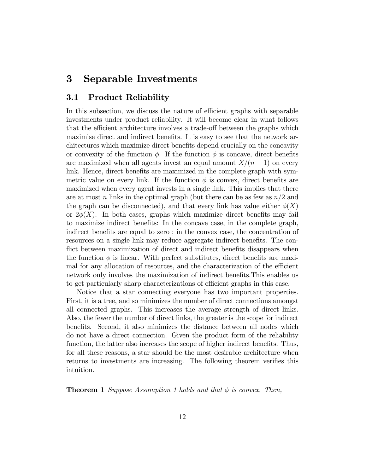# 3 Separable Investments

#### 3.1 Product Reliability

In this subsection, we discuss the nature of efficient graphs with separable investments under product reliability. It will become clear in what follows that the efficient architecture involves a trade-off between the graphs which maximise direct and indirect benefits. It is easy to see that the network architectures which maximize direct benefits depend crucially on the concavity or convexity of the function  $\phi$ . If the function  $\phi$  is concave, direct benefits are maximized when all agents invest an equal amount  $X/(n - 1)$  on every link. Hence, direct benefits are maximized in the complete graph with symmetric value on every link. If the function  $\phi$  is convex, direct benefits are maximized when every agent invests in a single link. This implies that there are at most n links in the optimal graph (but there can be as few as  $n/2$  and the graph can be disconnected), and that every link has value either  $\phi(X)$ or  $2\phi(X)$ . In both cases, graphs which maximize direct benefits may fail to maximize indirect benefits: In the concave case, in the complete graph, indirect benefits are equal to zero; in the convex case, the concentration of resources on a single link may reduce aggregate indirect benefits. The conflict between maximization of direct and indirect benefits disappears when the function  $\phi$  is linear. With perfect substitutes, direct benefits are maximal for any allocation of resources, and the characterization of the efficient network only involves the maximization of indirect benefits. This enables us to get particularly sharp characterizations of efficient graphs in this case.

Notice that a star connecting everyone has two important properties. First, it is a tree, and so minimizes the number of direct connections amongst all connected graphs. This increases the average strength of direct links. Also, the fewer the number of direct links, the greater is the scope for indirect benefits. Second, it also minimizes the distance between all nodes which do not have a direct connection. Given the product form of the reliability function, the latter also increases the scope of higher indirect benefits. Thus, for all these reasons, a star should be the most desirable architecture when returns to investments are increasing. The following theorem verifies this intuition.

**Theorem 1** Suppose Assumption 1 holds and that  $\phi$  is convex. Then,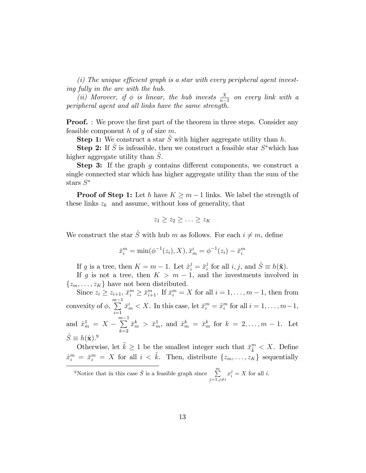$(i)$  The unique efficient graph is a star with every peripheral agent investing fully in the arc with the hub.

(ii) Morover, if  $\phi$  is linear, the hub invests  $\frac{X}{n-1}$  on every link with a peripheral agent and all links have the same strength.

**Proof.** : We prove the first part of the theorem in three steps. Consider any feasible component  $h$  of  $g$  of size  $m$ .

**Step 1:** We construct a star  $\hat{S}$  with higher aggregate utility than h.

**Step 2:** If  $\hat{S}$  is infeasible, then we construct a feasible star  $S^*$  which has higher aggregate utility than S.

**Step 3:** If the graph q contains different components, we construct a single connected star which has higher aggregate utility than the sum of the stars  $S^*$ 

**Proof of Step 1:** Let h have  $K \geq m - 1$  links. We label the strength of these links  $z_k$  and assume, without loss of generality, that

$$
z_1 \geq z_2 \geq \ldots \geq z_K
$$

We construct the star  $\hat{S}$  with hub m as follows. For each  $i \neq m$ , define

$$
\bar{x}_i^m = \min(\phi^{-1}(z_i), X), \bar{x}_m^i = \phi^{-1}(z_i) - \bar{x}_i^m
$$

If g is a tree, then  $K = m - 1$ . Let  $\hat{x}_i^j = \bar{x}_i^j$  $i_j$  for all  $i, j$ , and  $\hat{S} \equiv h(\hat{\mathbf{x}})$ .

If g is not a tree, then  $K > m - 1$ , and the investments involved in  $\{z_m, \ldots, z_K\}$  have not been distributed.

Since  $z_i \ge z_{i+1}, \bar{x}_i^m \ge \bar{x}_{i+1}^m$ . If  $\bar{x}_i^m = X$  for all  $i = 1, \ldots, m-1$ , then from convexity of  $\phi$ ,  $\sum_{n=1}^{\infty}$  $i=1$  $\bar{x}_m^i < X$ . In this case, let  $\bar{x}_i^m = \hat{x}_i^m$  for all  $i = 1, \ldots, m-1$ , and  $\hat{x}_{m}^{1} = X - \sum_{i=0}^{m-1}$  $_{k=2}$  $\bar{x}_{m}^{k} > \bar{x}_{m}^{1}$ , and  $\hat{x}_{m}^{k} = \bar{x}_{m}^{k}$  for  $k = 2, \ldots, m - 1$ . Let  $\hat{S} \equiv h(\hat{\mathbf{x}}).^9$ 

Otherwise, let  $\tilde{k} \geq 1$  be the smallest integer such that  $\bar{x}^m_{\tilde{k}} < X$ . Define  $\hat{x}^m_i = \bar{x}^m_i = X$  for all  $i < \tilde{k}$ . Then, distribute  $\{z_m, \ldots, z_K\}$  sequentially

<sup>&</sup>lt;sup>9</sup>Notice that in this case  $\hat{S}$  is a feasible graph since  $\sum_{m=1}^{m}$  $j=1,j\neq i$  $x_i^j = X$  for all *i*.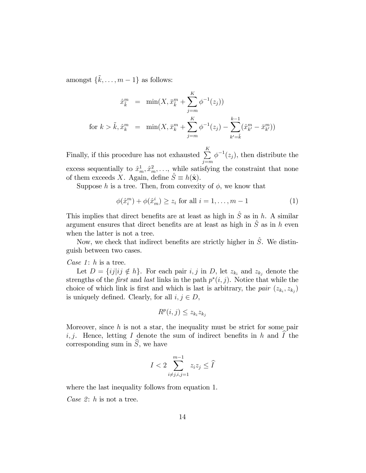amongst  $\{\tilde{k}, \ldots, m-1\}$  as follows:

$$
\hat{x}_{\tilde{k}}^m = \min(X, \bar{x}_{\tilde{k}}^m + \sum_{j=m}^K \phi^{-1}(z_j))
$$
  
for  $k > \tilde{k}, \hat{x}_{k}^m = \min(X, \bar{x}_{k}^m + \sum_{j=m}^K \phi^{-1}(z_j) - \sum_{k'= \tilde{k}}^{k-1} (\hat{x}_{k'}^m - \bar{x}_{k'}^m))$ 

Finally, if this procedure has not exhausted  $\sum_{k=1}^{K}$  $j = m$  $\phi^{-1}(z_j)$ , then distribute the excess sequentially to  $\hat{x}_{m}^{1}, \hat{x}_{m}^{2}, \ldots$ , while satisfying the constraint that none of them exceeds X. Again, define  $\hat{S} \equiv h(\hat{\mathbf{x}})$ .

Suppose h is a tree. Then, from convexity of  $\phi$ , we know that

$$
\phi(\hat{x}_i^m) + \phi(\hat{x}_m^i) \ge z_i \text{ for all } i = 1, \dots, m-1
$$
 (1)

This implies that direct benefits are at least as high in  $\hat{S}$  as in h. A similar argument ensures that direct benefits are at least as high in  $\hat{S}$  as in h even when the latter is not a tree.

Now, we check that indirect benefits are strictly higher in  $\hat{S}$ . We distinguish between two cases.

Case  $1: h$  is a tree.

Let  $D = \{ij | ij \notin h\}$ . For each pair i, j in D, let  $z_{k_i}$  and  $z_{k_j}$  denote the strengths of the *first* and *last* links in the path  $p^*(i, j)$ . Notice that while the choice of which link is first and which is last is arbitrary, the pair  $(z_{k_i}, z_{k_j})$ is uniquely defined. Clearly, for all  $i, j \in D$ ,

$$
R^p(i,j) \le z_{k_i} z_{k_j}
$$

Moreover, since  $h$  is not a star, the inequality must be strict for some pair i, j. Hence, letting I denote the sum of indirect benefits in h and  $\hat{I}$  the corresponding sum in  $\widehat{S}$ , we have

$$
I < 2 \sum_{i \neq j, i, j=1}^{m-1} z_i z_j \leq \widehat{I}
$$

where the last inequality follows from equation 1.

Case 2:  $h$  is not a tree.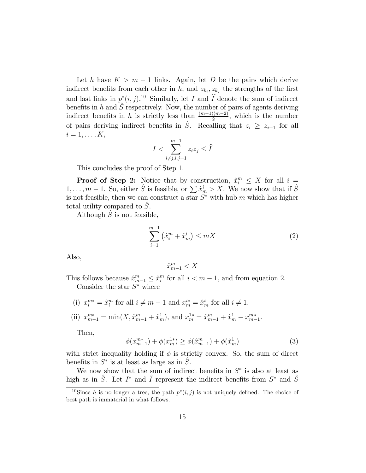Let h have  $K > m - 1$  links. Again, let D be the pairs which derive indirect benefits from each other in h, and  $z_{k_i}, z_{k_j}$  the strengths of the first and last links in  $p^*(i, j)$ .<sup>10</sup> Similarly, let I and  $\widehat{I}$  denote the sum of indirect benefits in h and  $\hat{S}$  respectively. Now, the number of pairs of agents deriving indirect benefits in h is strictly less than  $\frac{(m-1)(m-2)}{2}$ , which is the number of pairs deriving indirect benefits in  $\hat{S}$ . Recalling that  $z_i \geq z_{i+1}$  for all  $i = 1, \ldots, K$ ,

$$
I < \sum_{i \neq j, i, j=1}^{m-1} z_i z_j \leq \widehat{I}
$$

This concludes the proof of Step 1.

**Proof of Step 2:** Notice that by construction,  $\hat{x}_i^m \leq X$  for all  $i =$  $1, \ldots, m-1$ . So, either  $\hat{S}$  is feasible, or  $\sum \hat{x}_{m}^{i} > X$ . We now show that if  $\hat{S}$ is not feasible, then we can construct a star  $S^*$  with hub m which has higher total utility compared to  $S$ .

Although  $\hat{S}$  is not feasible,

$$
\sum_{i=1}^{m-1} (\hat{x}_i^m + \hat{x}_m^i) \le mX
$$
 (2)

Also,

$$
\hat{x}_{m-1}^m < X
$$

This follows because  $\hat{x}^m_{m-1} \leq \hat{x}^m_i$  for all  $i < m - 1$ , and from equation 2. Consider the star  $S^*$  where

(i)  $x_i^{m*} = \hat{x}_i^m$  for all  $i \neq m - 1$  and  $x_m^{i*} = \hat{x}_m^i$  for all  $i \neq 1$ .

(ii) 
$$
x_{m-1}^{m*} = \min(X, \hat{x}_{m-1}^m + \hat{x}_m^1)
$$
, and  $x_m^{1*} = \hat{x}_{m-1}^m + \hat{x}_m^1 - x_{m-1}^{m*}$ .

Then,

$$
\phi(x_{m-1}^{m*}) + \phi(x_m^{1*}) \ge \phi(\hat{x}_{m-1}^m) + \phi(\hat{x}_m^1)
$$
\n(3)

with strict inequality holding if  $\phi$  is strictly convex. So, the sum of direct benefits in  $S^*$  is at least as large as in  $\hat{S}$ .

We now show that the sum of indirect benefits in  $S^*$  is also at least as high as in  $\hat{S}$ . Let  $I^*$  and  $\hat{I}$  represent the indirect benefits from  $S^*$  and  $\hat{S}$ 

<sup>&</sup>lt;sup>10</sup>Since h is no longer a tree, the path  $p^*(i, j)$  is not uniquely defined. The choice of best path is immaterial in what follows.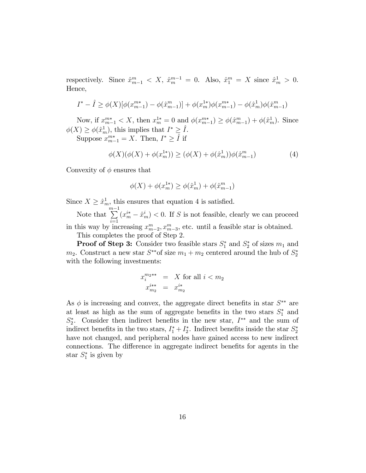respectively. Since  $\hat{x}_{m-1}^m < X$ ,  $\hat{x}_m^{m-1} = 0$ . Also,  $\hat{x}_1^m = X$  since  $\hat{x}_m^1 > 0$ . Hence,

$$
I^* - \hat{I} \ge \phi(X) [\phi(x_{m-1}^{m*}) - \phi(\hat{x}_{m-1}^{m})] + \phi(x_m^{1*})\phi(x_{m-1}^{m*}) - \phi(\hat{x}_m^1)\phi(\hat{x}_{m-1}^{m})
$$

Now, if  $x_{m-1}^{m*} < X$ , then  $x_m^{1*} = 0$  and  $\phi(x_{m-1}^{m*}) \ge \phi(\hat{x}_{m-1}^{m}) + \phi(\hat{x}_{m}^{1})$ . Since  $\phi(X) \geq \phi(\hat{x}_m^1)$ , this implies that  $I^* \geq \hat{I}$ .

Suppose  $x_{m-1}^{m*} = X$ . Then,  $I^* \geq \hat{I}$  if

$$
\phi(X)(\phi(X) + \phi(x_m^{1*})) \ge (\phi(X) + \phi(\hat{x}_m^1))\phi(\hat{x}_{m-1}^m)
$$
\n(4)

Convexity of  $\phi$  ensures that

$$
\phi(X) + \phi(x_m^{1*}) \ge \phi(\hat{x}_m^1) + \phi(\hat{x}_{m-1}^m)
$$

Since  $X \geq \hat{x}_m^1$ , this ensures that equation 4 is satisfied.

Note that  $\sum_{i=1}^{m-1} (x_m^{i*} - \hat{x}_m^i) < 0$ . If S is not feasible, clearly we can proceed in this way by increasing  $x_{m-2}^m, x_{m-3}^m$ , etc. until a feasible star is obtained.

This completes the proof of Step 2.

**Proof of Step 3:** Consider two feasible stars  $S_1^*$  and  $S_2^*$  of sizes  $m_1$  and  $m_2$ . Construct a new star  $S^{**}$  of size  $m_1 + m_2$  centered around the hub of  $S_2^*$ with the following investments:

$$
\begin{array}{rcl}\nx_i^{m_2**} & = & X \text{ for all } i < m_2 \\
x_{m_2}^{i**} & = & x_{m_2}^{i*}\n\end{array}
$$

As  $\phi$  is increasing and convex, the aggregate direct benefits in star  $S^{**}$  are at least as high as the sum of aggregate benefits in the two stars  $S_1^*$  and  $S_2^*$ . Consider then indirect benefits in the new star,  $I^{**}$  and the sum of indirect benefits in the two stars,  $I_1^* + I_2^*$ . Indirect benefits inside the star  $S_2^*$ have not changed, and peripheral nodes have gained access to new indirect connections. The difference in aggregate indirect benefits for agents in the star  $S_1^*$  is given by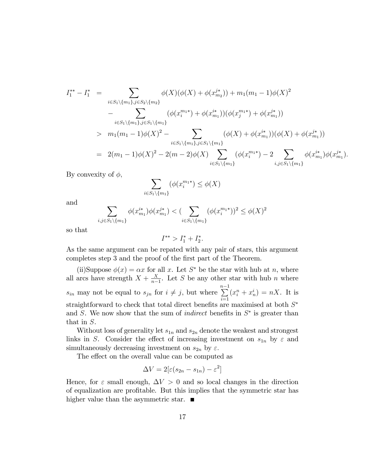$$
I_{1}^{**} - I_{1}^{*} = \sum_{i \in S_{1} \setminus \{m_{1}\}, j \in S_{2} \setminus \{m_{2}\}} \phi(X)(\phi(X) + \phi(x_{m_{2}}^{i*})) + m_{1}(m_{1} - 1)\phi(X)^{2}
$$
  
- 
$$
\sum_{i \in S_{1} \setminus \{m_{1}\}, j \in S_{1} \setminus \{m_{1}\}} (\phi(x_{i}^{m_{1}*}) + \phi(x_{m_{1}}^{i*}))(\phi(x_{j}^{m_{1}*}) + \phi(x_{m_{1}}^{i*}))
$$
  
> 
$$
m_{1}(m_{1} - 1)\phi(X)^{2} - \sum_{i \in S_{1} \setminus \{m_{1}\}, j \in S_{1} \setminus \{m_{1}\}} (\phi(X) + \phi(x_{m_{1}}^{i*}))(\phi(X) + \phi(x_{m_{1}}^{i*}))
$$
  
= 
$$
2(m_{1} - 1)\phi(X)^{2} - 2(m - 2)\phi(X) \sum_{i \in S_{1} \setminus \{m_{1}\}} (\phi(x_{i}^{m_{1}*}) - 2 \sum_{i,j \in S_{1} \setminus \{m_{1}\}} \phi(x_{m_{1}}^{i*})\phi(x_{m_{1}}^{j*}).
$$

By convexity of  $\phi$ ,

$$
\sum_{i \in S_1 \setminus \{m_1\}} (\phi(x_i^{m_1*}) \le \phi(X))
$$

and

$$
\sum_{i,j\in S_1\backslash\{m_1\}} \phi(x_{m_1}^{i*})\phi(x_{m_1}^{j*}) < \left(\sum_{i\in S_1\backslash\{m_1\}} (\phi(x_i^{m_1*}))^2 \leq \phi(X)^2\right)
$$

so that

$$
I^{**} > I_1^* + I_2^*.
$$

As the same argument can be repated with any pair of stars, this argument completes step 3 and the proof of the first part of the Theorem.

(ii)Suppose  $\phi(x) = \alpha x$  for all x. Let S<sup>\*</sup> be the star with hub at n, where all arcs have strength  $X + \frac{X}{n}$  $\frac{X}{n-1}$ . Let S be any other star with hub n where  $s_{in}$  may not be equal to  $s_{jn}$  for  $i \neq j$ , but where  $\sum_{i=1}^{n-1}$  $i=1$  $(x_i^n + x_n^i) = nX$ . It is straightforward to check that total direct benefits are maximised at both  $S^*$ and S. We now show that the sum of *indirect* benefits in  $S^*$  is greater than that in S.

Without loss of generality let  $s_{1n}$  and  $s_{2n}$  denote the weakest and strongest links in S. Consider the effect of increasing investment on  $s_{1n}$  by  $\varepsilon$  and simultaneously decreasing investment on  $s_{2n}$  by  $\varepsilon$ .

The effect on the overall value can be computed as

$$
\Delta V = 2[\varepsilon(s_{2n} - s_{1n}) - \varepsilon^2]
$$

Hence, for  $\varepsilon$  small enough,  $\Delta V > 0$  and so local changes in the direction of equalization are profitable. But this implies that the symmetric star has higher value than the asymmetric star.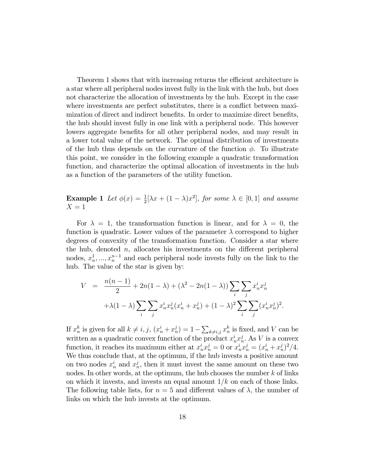Theorem 1 shows that with increasing returns the efficient architecture is a star where all peripheral nodes invest fully in the link with the hub, but does not characterize the allocation of investments by the hub. Except in the case where investments are perfect substitutes, there is a conflict between maximization of direct and indirect benefits. In order to maximize direct benefits, the hub should invest fully in one link with a peripheral node. This however lowers aggregate benefits for all other peripheral nodes, and may result in a lower total value of the network. The optimal distribution of investments of the hub thus depends on the curvature of the function  $\phi$ . To illustrate this point, we consider in the following example a quadratic transformation function, and characterize the optimal allocation of investments in the hub as a function of the parameters of the utility function.

**Example 1** Let  $\phi(x) = \frac{1}{2} [\lambda x + (1 - \lambda)x^2]$ , for some  $\lambda \in [0, 1]$  and assume  $X = 1$ 

For  $\lambda = 1$ , the transformation function is linear, and for  $\lambda = 0$ , the function is quadratic. Lower values of the parameter  $\lambda$  correspond to higher degrees of convexity of the transformation function. Consider a star where the hub, denoted  $n$ , allocates his investments on the different peripheral nodes,  $x_n^1, ..., x_n^{n-1}$  and each peripheral node invests fully on the link to the hub. The value of the star is given by:

$$
V = \frac{n(n-1)}{2} + 2n(1-\lambda) + (\lambda^2 - 2n(1-\lambda)) \sum_{i} \sum_{j} x_n^i x_n^j
$$

$$
+ \lambda (1-\lambda) \sum_{i} \sum_{j} x_n^i x_n^j (x_n^i + x_n^j) + (1-\lambda)^2 \sum_{i} \sum_{j} (x_n^i x_n^j)^2.
$$

If  $x_n^k$  is given for all  $k \neq i, j$ ,  $(x_n^i + x_n^j) = 1 - \sum_{k \neq i,j} x_n^k$  is fixed, and V can be written as a quadratic convex function of the product  $x_n^i x_n^j$ . As V is a convex function, it reaches its maximum either at  $x_n^i x_n^j = 0$  or  $x_n^i x_n^j = (x_n^i + x_n^j)^2/4$ . We thus conclude that, at the optimum, if the hub invests a positive amount on two nodes  $x_n^i$  and  $x_n^j$ , then it must invest the same amount on these two nodes. In other words, at the optimum, the hub chooses the number  $k$  of links on which it invests, and invests an equal amount  $1/k$  on each of those links. The following table lists, for  $n = 5$  and different values of  $\lambda$ , the number of links on which the hub invests at the optimum.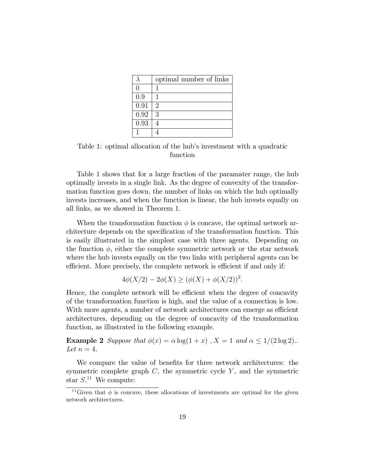|      | optimal number of links     |
|------|-----------------------------|
| 0    |                             |
| 0.9  |                             |
| 0.91 | $\mathcal{D}_{\mathcal{L}}$ |
| 0.92 | 3                           |
| 0.93 |                             |
|      |                             |

Table 1: optimal allocation of the hub's investment with a quadratic function

Table 1 shows that for a large fraction of the paramater range, the hub optimally invests in a single link. As the degree of convexity of the transformation function goes down, the number of links on which the hub optimally invests increases, and when the function is linear, the hub invests equally on all links, as we showed in Theorem 1.

When the transformation function  $\phi$  is concave, the optimal network architecture depends on the specification of the transformation function. This is easily illustrated in the simplest case with three agents. Depending on the function  $\phi$ , either the complete symmetric network or the star network where the hub invests equally on the two links with peripheral agents can be efficient. More precisely, the complete network is efficient if and only if:

$$
4\phi(X/2) - 2\phi(X) \ge (\phi(X) + \phi(X/2))^2.
$$

Hence, the complete network will be efficient when the degree of concavity of the transformation function is high, and the value of a connection is low. With more agents, a number of network architectures can emerge as efficient architectures, depending on the degree of concavity of the transformation function, as illustrated in the following example.

**Example 2** Suppose that  $\phi(x) = \alpha \log(1 + x)$ ,  $X = 1$  and  $\alpha \leq 1/(2 \log 2)$ . Let  $n=4$ .

We compare the value of benefits for three network architectures: the symmetric complete graph  $C$ , the symmetric cycle  $Y$ , and the symmetric star  $S^{11}$  We compute:

<sup>&</sup>lt;sup>11</sup>Given that  $\phi$  is concave, these allocations of investments are optimal for the given network architectures.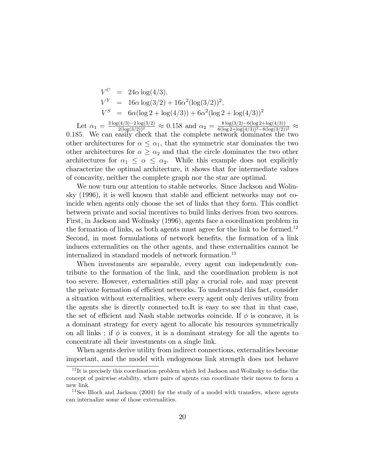$$
V^{C} = 24\alpha \log(4/3),
$$
  
\n
$$
V^{Y} = 16\alpha \log(3/2) + 16\alpha^{2} (\log(3/2))^{2},
$$
  
\n
$$
V^{S} = 6\alpha (\log 2 + \log(4/3)) + 6\alpha^{2} (\log 2 + \log(4/3))^{2}
$$

Let  $\alpha_1 = \frac{3 \log(4/3) - 2 \log(3/2)}{2(\log(3/2))^2} \approx 0.158$  and  $\alpha_2 = \frac{8 \log(3/2) - 6(\log 2 + \log(4/3))}{6(\log 2 + \log(4/3))^2 - 8(\log(3/2))^2} \approx$ 0:185. We can easily check that the complete network dominates the two other architectures for  $\alpha \leq \alpha_1$ , that the symmetric star dominates the two other architectures for  $\alpha \geq \alpha_2$  and that the circle dominates the two other architectures for  $\alpha_1 \leq \alpha \leq \alpha_2$ . While this example does not explicitly characterize the optimal architecture, it shows that for intermediate values of concavity, neither the complete graph nor the star are optimal.

We now turn our attention to stable networks. Since Jackson and Wolinsky  $(1996)$ , it is well known that stable and efficient networks may not coincide when agents only choose the set of links that they form. This conflict between private and social incentives to build links derives from two sources. First, in Jackson and Wolinsky (1996), agents face a coordination problem in the formation of links, as both agents must agree for the link to be formed.<sup>12</sup> Second, in most formulations of network benefits, the formation of a link induces externalities on the other agents, and these externalities cannot be internalized in standard models of network formation.<sup>13</sup>

When investments are separable, every agent can independently contribute to the formation of the link, and the coordination problem is not too severe. However, externalities still play a crucial role, and may prevent the private formation of efficient networks. To understand this fact, consider a situation without externalities, where every agent only derives utility from the agents she is directly connected to.It is easy to see that in that case, the set of efficient and Nash stable networks coincide. If  $\phi$  is concave, it is a dominant strategy for every agent to allocate his resources symmetrically on all links; if  $\phi$  is convex, it is a dominant strategy for all the agents to concentrate all their investments on a single link.

When agents derive utility from indirect connections, externalities become important, and the model with endogenous link strength does not behave

 $12$ It is precisely this coordination problem which led Jackson and Wolinsky to define the concept of pairwise stability, where pairs of agents can coordinate their moves to form a new link.

<sup>&</sup>lt;sup>13</sup>See Bloch and Jackson  $(2004)$  for the study of a model with transfers, where agents can internalize some of those externalities.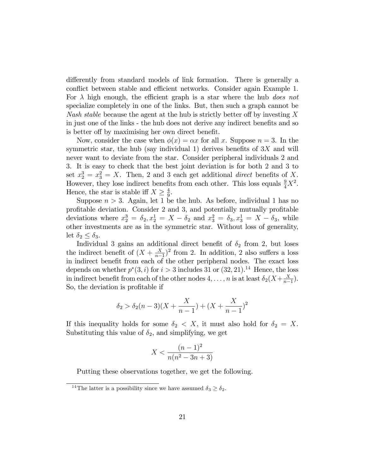differently from standard models of link formation. There is generally a conflict between stable and efficient networks. Consider again Example 1. For  $\lambda$  high enough, the efficient graph is a star where the hub does not specialize completely in one of the links. But, then such a graph cannot be Nash stable because the agent at the hub is strictly better off by investing  $X$ in just one of the links - the hub does not derive any indirect benefits and so is better of by maximising her own direct benefit.

Now, consider the case when  $\phi(x) = \alpha x$  for all x. Suppose  $n = 3$ . In the symmetric star, the hub (say individual 1) derives benefits of  $3X$  and will never want to deviate from the star. Consider peripheral individuals 2 and 3. It is easy to check that the best joint deviation is for both 2 and 3 to set  $x_2^3 = x_3^2 = X$ . Then, 2 and 3 each get additional *direct* benefits of X. However, they lose indirect benefits from each other. This loss equals  $\frac{9}{4}X^2$ . Hence, the star is stable iff  $X \geq \frac{4}{9}$  $\frac{4}{9}$ .

Suppose  $n > 3$ . Again, let 1 be the hub. As before, individual 1 has no profitable deviation. Consider 2 and 3, and potentially mutually profitable deviations where  $x_2^3 = \delta_2, x_2^1 = X - \delta_2$  and  $x_3^2 = \delta_3, x_3^1 = X - \delta_3$ , while other investments are as in the symmetric star. Without loss of generality, let  $\delta_2 \leq \delta_3$ .

Individual 3 gains an additional direct benefit of  $\delta_2$  from 2, but loses the indirect benefit of  $(X + \frac{X}{n-1})$  $(\frac{X}{n-1})^2$  from 2. In addition, 2 also suffers a loss in indirect benefit from each of the other peripheral nodes. The exact loss depends on whether  $p^*(3, i)$  for  $i > 3$  includes 31 or  $(32, 21).$ <sup>14</sup> Hence, the loss in indirect benefit from each of the other nodes  $4, \ldots, n$  is at least  $\delta_2(X+\frac{X}{n-1})$  $\frac{X}{n-1}$ . So, the deviation is profitable if

$$
\delta_2 > \delta_2(n-3)(X + \frac{X}{n-1}) + (X + \frac{X}{n-1})^2
$$

If this inequality holds for some  $\delta_2 < X$ , it must also hold for  $\delta_2 = X$ . Substituting this value of  $\delta_2$ , and simplifying, we get

$$
X < \frac{(n-1)^2}{n(n^2 - 3n + 3)}
$$

Putting these observations together, we get the following.

<sup>&</sup>lt;sup>14</sup>The latter is a possibility since we have assumed  $\delta_3 \geq \delta_2$ .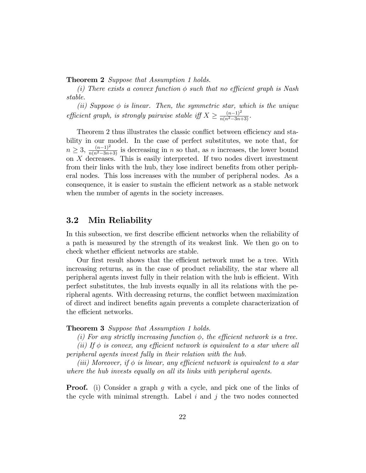**Theorem 2** Suppose that Assumption 1 holds.

(i) There exists a convex function  $\phi$  such that no efficient graph is Nash stable.

(ii) Suppose  $\phi$  is linear. Then, the symmetric star, which is the unique efficient graph, is strongly pairwise stable iff  $X \geq \frac{(n-1)^2}{n(n^2-3n+3)}$ .

Theorem 2 thus illustrates the classic conflict between efficiency and stability in our model. In the case of perfect substitutes, we note that, for  $n \geq 3$ ,  $\frac{(n-1)^2}{n(n^2-3n+3)}$  is decreasing in n so that, as n increases, the lower bound on X decreases. This is easily interpreted. If two nodes divert investment from their links with the hub, they lose indirect benefits from other peripheral nodes. This loss increases with the number of peripheral nodes. As a consequence, it is easier to sustain the efficient network as a stable network when the number of agents in the society increases.

### 3.2 Min Reliability

In this subsection, we first describe efficient networks when the reliability of a path is measured by the strength of its weakest link. We then go on to check whether efficient networks are stable.

Our first result shows that the efficient network must be a tree. With increasing returns, as in the case of product reliability, the star where all peripheral agents invest fully in their relation with the hub is efficient. With perfect substitutes, the hub invests equally in all its relations with the peripheral agents. With decreasing returns, the conflict between maximization of direct and indirect benefits again prevents a complete characterization of the efficient networks.

#### Theorem 3 Suppose that Assumption 1 holds.

(i) For any strictly increasing function  $\phi$ , the efficient network is a tree.

(ii) If  $\phi$  is convex, any efficient network is equivalent to a star where all peripheral agents invest fully in their relation with the hub.

(iii) Moreover, if  $\phi$  is linear, any efficient network is equivalent to a star where the hub invests equally on all its links with peripheral agents.

**Proof.** (i) Consider a graph g with a cycle, and pick one of the links of the cycle with minimal strength. Label  $i$  and  $j$  the two nodes connected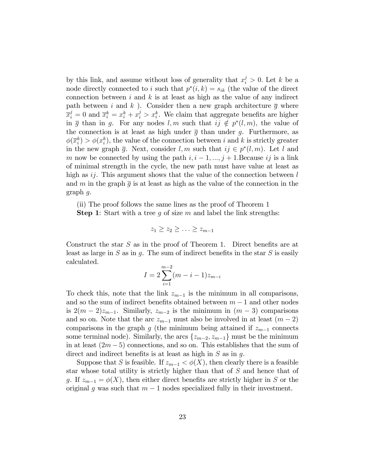by this link, and assume without loss of generality that  $x_i^j > 0$ . Let k be a node directly connected to i such that  $p^*(i, k) = s_{ik}$  (the value of the direct connection between  $i$  and  $k$  is at least as high as the value of any indirect path between i and k). Consider then a new graph architecture  $\bar{q}$  where  $\bar{x}_i^j = 0$  and  $\bar{x}_i^k = x_i^k + x_i^j > x_i^k$ . We claim that aggregate benefits are higher in  $\overline{g}$  than in g. For any nodes  $l, m$  such that  $ij \notin p^*(l, m)$ , the value of the connection is at least as high under  $\overline{q}$  than under q. Furthermore, as  $\phi(\overline{x}_i^k) > \phi(x_i^k)$ , the value of the connection between i and k is strictly greater in the new graph  $\overline{g}$ . Next, consider  $l, m$  such that  $ij \in p^*(l, m)$ . Let l and m now be connected by using the path  $i, i - 1, ..., j + 1$ . Because ij is a link of minimal strength in the cycle, the new path must have value at least as high as  $ij$ . This argument shows that the value of the connection between  $l$ and m in the graph  $\overline{g}$  is at least as high as the value of the connection in the graph g.

(ii) The proof follows the same lines as the proof of Theorem 1

**Step 1:** Start with a tree g of size m and label the link strengths:

$$
z_1 \geq z_2 \geq \ldots \geq z_{m-1}
$$

Construct the star  $S$  as in the proof of Theorem 1. Direct benefits are at least as large in  $S$  as in  $g$ . The sum of indirect benefits in the star  $S$  is easily calculated.

$$
I = 2\sum_{i=1}^{m-2} (m-i-1)z_{m-i}
$$

To check this, note that the link  $z_{m-1}$  is the minimum in all comparisons, and so the sum of indirect benefits obtained between  $m-1$  and other nodes is  $2(m-2)z_{m-1}$ . Similarly,  $z_{m-2}$  is the minimum in  $(m-3)$  comparisons and so on. Note that the arc  $z_{m-1}$  must also be involved in at least  $(m - 2)$ comparisons in the graph g (the minimum being attained if  $z_{m-1}$  connects some terminal node). Similarly, the arcs  $\{z_{m-2}, z_{m-1}\}$  must be the minimum in at least  $(2m - 5)$  connections, and so on. This establishes that the sum of direct and indirect benefits is at least as high in  $S$  as in  $q$ .

Suppose that S is feasible. If  $z_{m-1} < \phi(X)$ , then clearly there is a feasible star whose total utility is strictly higher than that of S and hence that of g. If  $z_{m-1} = \phi(X)$ , then either direct benefits are strictly higher in S or the original g was such that  $m-1$  nodes specialized fully in their investment.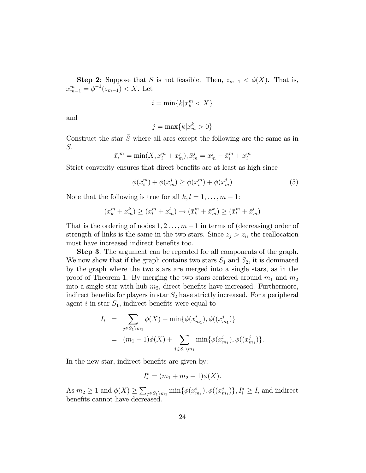**Step 2:** Suppose that S is not feasible. Then,  $z_{m-1} < \phi(X)$ . That is,  $x_{m-1}^m = \phi^{-1}(z_{m-1}) < X$ . Let

$$
i = \min\{k | x_k^m < X\}
$$

and

$$
j = \max\{k | x_m^k > 0\}
$$

Construct the star  $\overline{S}$  where all arcs except the following are the same as in S.

$$
\bar{x_i}^m = \min(X, x_i^m + x_m^j), \bar{x}_m^j = x_m^j - \bar{x}_i^m + x_i^m
$$

Strict convexity ensures that direct benefits are at least as high since

$$
\phi(\bar{x}_i^m) + \phi(\bar{x}_m^j) \ge \phi(x_i^m) + \phi(x_m^j)
$$
\n<sup>(5)</sup>

Note that the following is true for all  $k, l = 1, \ldots, m - 1$ :

$$
(x_k^m + x_m^k) \ge (x_l^m + x_m^l) \to (\bar{x}_k^m + \bar{x}_m^k) \ge (\bar{x}_l^m + \bar{x}_m^l)
$$

That is the ordering of nodes  $1, 2, \ldots, m-1$  in terms of (decreasing) order of strength of links is the same in the two stars. Since  $z_j > z_i$ , the reallocation must have increased indirect benefits too.

Step 3: The argument can be repeated for all components of the graph. We now show that if the graph contains two stars  $S_1$  and  $S_2$ , it is dominated by the graph where the two stars are merged into a single stars, as in the proof of Theorem 1. By merging the two stars centered around  $m_1$  and  $m_2$ into a single star with hub  $m_2$ , direct benefits have increased. Furthermore, indirect benefits for players in star  $S_2$  have strictly increased. For a peripheral agent i in star  $S_1$ , indirect benefits were equal to

$$
I_i = \sum_{j \in S_1 \setminus m_1} \phi(X) + \min{\phi(x_{m_1}^i), \phi((x_{m_1}^j))}
$$
  
=  $(m_1 - 1)\phi(X) + \sum_{j \in S_1 \setminus m_1} \min{\phi(x_{m_1}^i), \phi((x_{m_1}^j))}.$ 

In the new star, indirect benefits are given by:

$$
I_i^* = (m_1 + m_2 - 1)\phi(X).
$$

As  $m_2 \geq 1$  and  $\phi(X) \geq \sum_{j \in S_1 \setminus m_1} \min\{\phi(x_{m_1}^i), \phi((x_{m_1}^j)\}, I_i^* \geq I_i$  and indirect benefits cannot have decreased.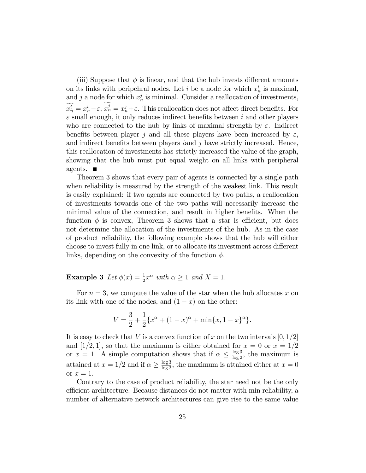(iii) Suppose that  $\phi$  is linear, and that the hub invests different amounts on its links with peripehral nodes. Let *i* be a node for which  $x_n^i$  is maximal, and j a node for which  $x_n^j$  is minimal. Consider a reallocation of investments,  $\widetilde{x}_n^i = x_n^i - \varepsilon, x_n^j = x_n^j + \varepsilon$ . This reallocation does not affect direct benefits. For  $\varepsilon$  small enough, it only reduces indirect benefits between i and other players who are connected to the hub by links of maximal strength by  $\varepsilon$ . Indirect benefits between player j and all these players have been increased by  $\varepsilon$ , and indirect benefits between players *iand j* have strictly increased. Hence, this reallocation of investments has strictly increased the value of the graph, showing that the hub must put equal weight on all links with peripheral agents.  $\blacksquare$ 

Theorem 3 shows that every pair of agents is connected by a single path when reliability is measured by the strength of the weakest link. This result is easily explained: if two agents are connected by two paths, a reallocation of investments towards one of the two paths will necessarily increase the minimal value of the connection, and result in higher benefits. When the function  $\phi$  is convex, Theorem 3 shows that a star is efficient, but does not determine the allocation of the investments of the hub. As in the case of product reliability, the following example shows that the hub will either choose to invest fully in one link, or to allocate its investment across different links, depending on the convexity of the function  $\phi$ .

**Example 3** Let  $\phi(x) = \frac{1}{2}x^{\alpha}$  with  $\alpha \ge 1$  and  $X = 1$ .

For  $n = 3$ , we compute the value of the star when the hub allocates x on its link with one of the nodes, and  $(1 - x)$  on the other:

$$
V = \frac{3}{2} + \frac{1}{2} \{x^{\alpha} + (1 - x)^{\alpha} + \min\{x, 1 - x\}^{\alpha}\}.
$$

It is easy to check that V is a convex function of x on the two intervals  $[0,1/2]$ and [1/2, 1], so that the maximum is either obtained for  $x = 0$  or  $x = 1/2$ or  $x = 1$ . A simple computation shows that if  $\alpha \leq \frac{\log 3}{\log 2}$ , the maximum is attained at  $x = 1/2$  and if  $\alpha \ge \frac{\log 3}{\log 2}$ , the maximum is attained either at  $x = 0$ or  $x=1$ .

Contrary to the case of product reliability, the star need not be the only efficient architecture. Because distances do not matter with min reliability, a number of alternative network architectures can give rise to the same value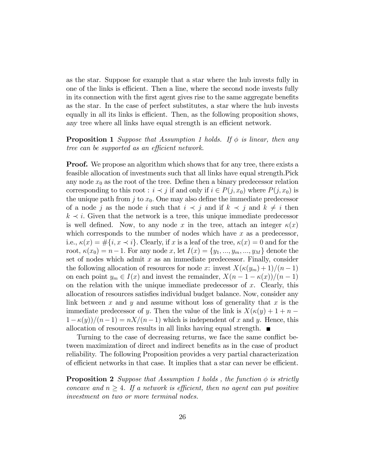as the star. Suppose for example that a star where the hub invests fully in one of the links is efficient. Then a line, where the second node invests fully in its connection with the first agent gives rise to the same aggregate benefits as the star. In the case of perfect substitutes, a star where the hub invests equally in all its links is efficient. Then, as the following proposition shows, any tree where all links have equal strength is an efficient network.

#### **Proposition 1** Suppose that Assumption 1 holds. If  $\phi$  is linear, then any tree can be supported as an efficient network.

**Proof.** We propose an algorithm which shows that for any tree, there exists a feasible allocation of investments such that all links have equal strength.Pick any node  $x_0$  as the root of the tree. Define then a binary predecessor relation corresponding to this root :  $i \prec j$  if and only if  $i \in P(j, x_0)$  where  $P(j, x_0)$  is the unique path from j to  $x_0$ . One may also define the immediate predecessor of a node j as the node i such that  $i \prec j$  and if  $k \prec j$  and  $k \neq i$  then  $k \prec i$ . Given that the network is a tree, this unique immediate predecessor is well defined. Now, to any node x in the tree, attach an integer  $\kappa(x)$ which corresponds to the number of nodes which have  $x$  as a predecessor, i.e.,  $\kappa(x) = \#\{i, x \prec i\}$ . Clearly, if x is a leaf of the tree,  $\kappa(x) = 0$  and for the root,  $\kappa(x_0) = n-1$ . For any node x, let  $I(x) = \{y_1, ..., y_m, ..., y_M\}$  denote the set of nodes which admit  $x$  as an immediate predecessor. Finally, consider the following allocation of resources for node x: invest  $X(\kappa(y_m) + 1)/(n - 1)$ on each point  $y_m \in I(x)$  and invest the remainder,  $X(n - 1 - \kappa(x))/(n - 1)$ on the relation with the unique immediate predecessor of  $x$ . Clearly, this allocation of resources satisfies individual budget balance. Now, consider any link between x and y and assume without loss of generality that  $x$  is the immediate predecessor of y. Then the value of the link is  $X(\kappa(y) + 1 + n (1-\kappa(y))/(n-1) = nX/(n-1)$  which is independent of x and y. Hence, this allocation of resources results in all links having equal strength.  $\blacksquare$ 

Turning to the case of decreasing returns, we face the same conflict between maximization of direct and indirect benefits as in the case of product reliability. The following Proposition provides a very partial characterization of efficient networks in that case. It implies that a star can never be efficient.

**Proposition 2** Suppose that Assumption 1 holds, the function  $\phi$  is strictly concave and  $n \geq 4$ . If a network is efficient, then no agent can put positive investment on two or more terminal nodes.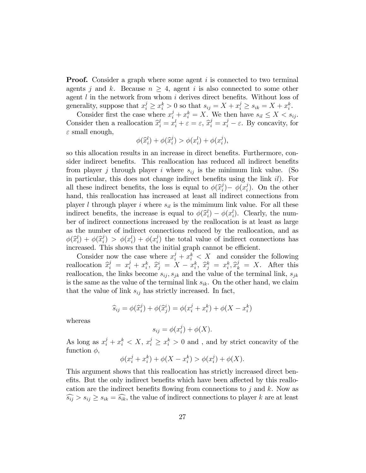**Proof.** Consider a graph where some agent i is connected to two terminal agents j and k. Because  $n \geq 4$ , agent i is also connected to some other agent  $l$  in the network from whom  $i$  derives direct benefits. Without loss of generality, suppose that  $x_i^j \ge x_i^k > 0$  so that  $s_{ij} = X + x_i^j \ge s_{ik} = X + x_i^k$ .

Consider first the case where  $x_i^j + x_i^k = X$ . We then have  $s_{il} \leq X < s_{ij}$ . Consider then a reallocation  $\hat{x}_i^l = x_i^l + \varepsilon = \varepsilon$ ,  $\hat{x}_i^j = x_i^j - \varepsilon$ . By concavity, for  $\varepsilon$  small enough,

$$
\phi(\widehat{x}_i^l) + \phi(\widehat{x}_i^j) > \phi(x_i^l) + \phi(x_i^j),
$$

so this allocation results in an increase in direct benefits. Furthermore, consider indirect benefits. This reallocation has reduced all indirect benefits from player j through player i where  $s_{ij}$  is the minimum link value. (So in particular, this does not change indirect benefits using the link  $il$ ). For all these indirect benefits, the loss is equal to  $\phi(\hat{x}_i^j)$  $\phi(x_i^j) - \phi(x_i^j)$  $i<sup>j</sup>$ ). On the other hand, this reallocation has increased at least all indirect connections from player l through player i where  $s_{il}$  is the mimimum link value. For all these indirect benefits, the increase is equal to  $\phi(\hat{x}_i^l) - \phi(x_i^l)$ . Clearly, the number of indirect connections increased by the reallocation is at least as large as the number of indirect connections reduced by the reallocation, and as  $\phi(\widehat{x}_i^l) + \phi(\widehat{x}_i^j)$  $\phi^{j}_{i}$ ) >  $\phi(x_{i}^{l}) + \phi(x_{i}^{j})$  $\binom{3}{i}$  the total value of indirect connections has increased. This shows that the initial graph cannot be efficient.

Consider now the case where  $x_i^j + x_i^k < X$  and consider the following reallocation  $\hat{x}_i^j = x_i^j + x_i^k$ ,  $\hat{x}_j^i = X - x_i^k$ ,  $\hat{x}_j^k = x_i^k$ ,  $\hat{x}_k^j = X$ . After this reallocation, the links become  $s_{ij}$ ,  $s_{jk}$  and the value of the terminal link,  $s_{jk}$ is the same as the value of the terminal link  $s_{ik}$ . On the other hand, we claim that the value of link  $s_{ij}$  has strictly increased. In fact,

$$
\widehat{s}_{ij} = \phi(\widehat{x}_i^j) + \phi(\widehat{x}_j^i) = \phi(x_i^j + x_i^k) + \phi(X - x_i^k)
$$

whereas

$$
s_{ij} = \phi(x_i^j) + \phi(X).
$$

As long as  $x_i^j + x_i^k < X$ ,  $x_i^j \ge x_i^k > 0$  and, and by strict concavity of the function  $\phi$ ,

$$
\phi(x_i^j + x_i^k) + \phi(X - x_i^k) > \phi(x_i^j) + \phi(X).
$$

This argument shows that this reallocation has strictly increased direct benefits. But the only indirect benefits which have been affected by this reallocation are the indirect benefits flowing from connections to j and k. Now as  $\widehat{s_{ij}} > s_{ij} \geq s_{ik} = \widehat{s_{ik}}$ , the value of indirect connections to player k are at least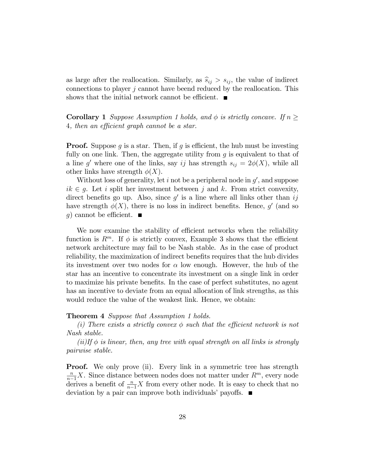as large after the reallocation. Similarly, as  $\hat{s}_{ij} > s_{ij}$ , the value of indirect connections to player  $j$  cannot have beend reduced by the reallocation. This shows that the initial network cannot be efficient.  $\blacksquare$ 

**Corollary 1** Suppose Assumption 1 holds, and  $\phi$  is strictly concave. If  $n \geq$ 4, then an efficient graph cannot be a star.

**Proof.** Suppose q is a star. Then, if q is efficient, the hub must be investing fully on one link. Then, the aggregate utility from  $g$  is equivalent to that of a line g' where one of the links, say ij has strength  $s_{ij} = 2\phi(X)$ , while all other links have strength  $\phi(X)$ .

Without loss of generality, let  $i$  not be a peripheral node in  $g'$ , and suppose  $ik \in g$ . Let i split her investment between j and k. From strict convexity, direct benefits go up. Also, since  $g'$  is a line where all links other than ij have strength  $\phi(X)$ , there is no loss in indirect benefits. Hence, g' (and so g) cannot be efficient.  $\blacksquare$ 

We now examine the stability of efficient networks when the reliability function is  $R^m$ . If  $\phi$  is strictly convex, Example 3 shows that the efficient network architecture may fail to be Nash stable. As in the case of product reliability, the maximization of indirect benefits requires that the hub divides its investment over two nodes for  $\alpha$  low enough. However, the hub of the star has an incentive to concentrate its investment on a single link in order to maximize his private benefits. In the case of perfect substitutes, no agent has an incentive to deviate from an equal allocation of link strengths, as this would reduce the value of the weakest link. Hence, we obtain:

#### Theorem 4 Suppose that Assumption 1 holds.

(i) There exists a strictly convex  $\phi$  such that the efficient network is not Nash stable.

 $(ii)$ If  $\phi$  is linear, then, any tree with equal strength on all links is strongly pairwise stable.

**Proof.** We only prove (ii). Every link in a symmetric tree has strength  $\frac{n}{n-1}X$ . Since distance between nodes does not matter under  $R^m$ , every node derives a benefit of  $\frac{n}{n-1}X$  from every other node. It is easy to check that no deviation by a pair can improve both individuals' payoffs.  $\blacksquare$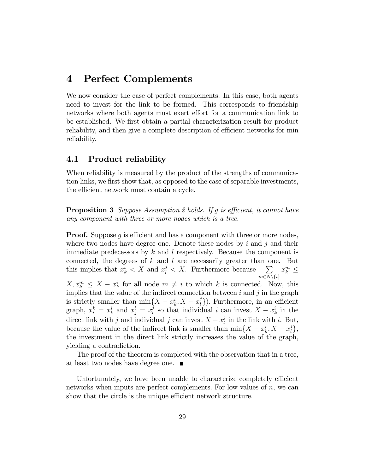## 4 Perfect Complements

We now consider the case of perfect complements. In this case, both agents need to invest for the link to be formed. This corresponds to friendship networks where both agents must exert effort for a communication link to be established. We first obtain a partial characterization result for product reliability, and then give a complete description of efficient networks for min reliability.

#### 4.1 Product reliability

When reliability is measured by the product of the strengths of communication links, we first show that, as opposed to the case of separable investments, the efficient network must contain a cycle.

**Proposition 3** Suppose Assumption 2 holds. If g is efficient, it cannot have any component with three or more nodes which is a tree.

**Proof.** Suppose  $g$  is efficient and has a component with three or more nodes, where two nodes have degree one. Denote these nodes by  $i$  and  $j$  and their immediate predecessors by  $k$  and  $l$  respectively. Because the component is connected, the degrees of  $k$  and  $l$  are necessarily greater than one. But this implies that  $x_k^i < X$  and  $x_l^j < X$ . Furthermore because  $\sum$  $m \in N \setminus \{i\}$  $x_k^m \leq$ 

 $X, x_k^m \leq X - x_k^i$  for all node  $m \neq i$  to which k is connected. Now, this implies that the value of the indirect connection between  $i$  and  $j$  in the graph is strictly smaller than  $\min\{X - x_k^i, X - x_l^j\}$  $\binom{1}{l}$ . Furthermore, in an efficient graph,  $x_i^k = x_k^i$  and  $x_j^l = x_l^j$  $\mu$  so that individual i can invest  $X - x_k^i$  in the direct link with j and individual j can invest  $X - x_l^j$  $\mathbf{I}_l^j$  in the link with i. But, because the value of the indirect link is smaller than  $\min\{X - x_k^i, X - x_l^j\}$  $\{ \}$ , the investment in the direct link strictly increases the value of the graph, yielding a contradiction.

The proof of the theorem is completed with the observation that in a tree, at least two nodes have degree one.

Unfortunately, we have been unable to characterize completely efficient networks when inputs are perfect complements. For low values of  $n$ , we can show that the circle is the unique efficient network structure.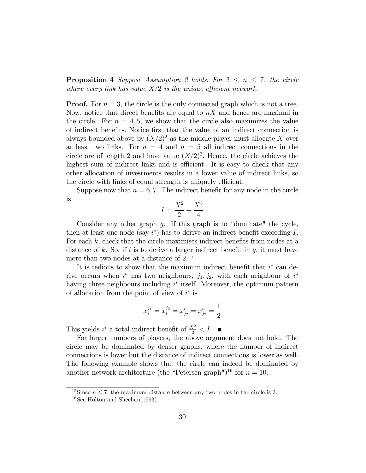**Proposition 4** Suppose Assumption 2 holds. For  $3 \leq n \leq 7$ , the circle where every link has value  $X/2$  is the unique efficient network.

**Proof.** For  $n = 3$ , the circle is the only connected graph which is not a tree. Now, notice that direct benefits are equal to  $nX$  and hence are maximal in the circle. For  $n = 4, 5$ , we show that the circle also maximizes the value of indirect benefits. Notice first that the value of an indirect connection is always bounded above by  $(X/2)^2$  as the middle player must allocate X over at least two links. For  $n = 4$  and  $n = 5$  all indirect connections in the circle are of length 2 and have value  $(X/2)^2$ . Hence, the circle achieves the highest sum of indirect links and is efficient. It is easy to check that any other allocation of investments results in a lower value of indirect links, so the circle with links of equal strength is uniquely efficient.

Suppose now that  $n = 6, 7$ . The indirect benefit for any node in the circle is

$$
I = \frac{X^2}{2} + \frac{X^3}{4}
$$

Consider any other graph  $g$ . If this graph is to "dominate" the cycle, then at least one node (say  $i^*$ ) has to derive an indirect benefit exceeding I. For each  $k$ , check that the circle maximises indirect benefits from nodes at a distance of  $k$ . So, if i is to derive a larger indirect benefit in  $g$ , it must have more than two nodes at a distance of  $2^{15}$ 

It is tedious to show that the maximum indirect benefit that  $i^*$  can derive occurs when  $i^*$  has two neighbours,  $j_1, j_2$ , with each neighbour of  $i^*$ having three neighbours including  $i^*$  itself. Moreover, the optimum pattern of allocation from the point of view of  $i^*$  is

$$
x_i^{j_1} = x_i^{j_2} = x_{j_2}^i = x_{j_2}^i = \frac{1}{2}
$$

This yields  $i^*$  a total indirect benefit of  $\frac{X^2}{2} < I$ .

For larger numbers of players, the above argument does not hold. The circle may be dominated by denser graphs, where the number of indirect connections is lower but the distance of indirect connections is lower as well. The following example shows that the circle can indeed be dominated by another network architecture (the "Petersen graph")<sup>16</sup> for  $n = 10$ .

<sup>&</sup>lt;sup>15</sup>Since  $n \leq 7$ , the maximum distance between any two nodes in the circle is 3.

<sup>&</sup>lt;sup>16</sup>See Holton and Sheehan(1993).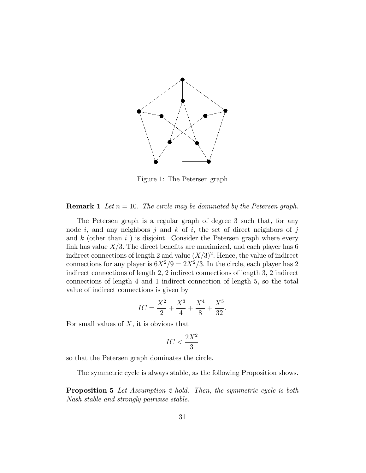

Figure 1: The Petersen graph

#### **Remark 1** Let  $n = 10$ . The circle may be dominated by the Petersen graph.

The Petersen graph is a regular graph of degree 3 such that, for any node i, and any neighbors j and  $k$  of i, the set of direct neighbors of j and k (other than  $i$ ) is disjoint. Consider the Petersen graph where every link has value  $X/3$ . The direct benefits are maximized, and each player has 6 indirect connections of length 2 and value  $(X/3)^2$ . Hence, the value of indirect connections for any player is  $6X^2/9 = 2X^2/3$ . In the circle, each player has 2 indirect connections of length 2, 2 indirect connections of length 3, 2 indirect connections of length 4 and 1 indirect connection of length 5, so the total value of indirect connections is given by

$$
IC = \frac{X^2}{2} + \frac{X^3}{4} + \frac{X^4}{8} + \frac{X^5}{32}.
$$

For small values of  $X$ , it is obvious that

$$
IC<\frac{2X^2}{3}
$$

so that the Petersen graph dominates the circle.

The symmetric cycle is always stable, as the following Proposition shows.

**Proposition 5** Let Assumption 2 hold. Then, the symmetric cycle is both Nash stable and strongly pairwise stable.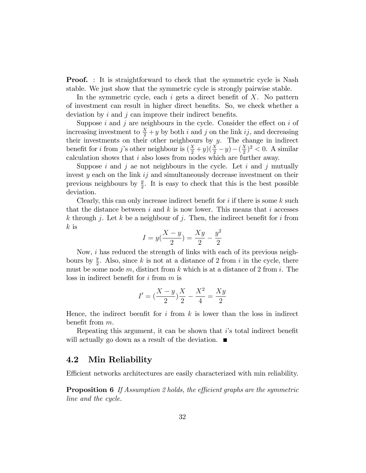**Proof.** : It is straightforward to check that the symmetric cycle is Nash stable. We just show that the symmetric cycle is strongly pairwise stable.

In the symmetric cycle, each  $i$  gets a direct benefit of  $X$ . No pattern of investment can result in higher direct benefits. So, we check whether a deviation by  $i$  and  $j$  can improve their indirect benefits.

Suppose  $i$  and  $j$  are neighbours in the cycle. Consider the effect on  $i$  of increasing investment to  $\frac{X}{2} + y$  by both i and j on the link ij, and decreasing their investments on their other neighbours by  $y$ . The change in indirect benefit for *i* from *j*'s other neighbour is  $(\frac{X}{2} + y)(\frac{X}{2} - y) - (\frac{X}{2})$  $(\frac{X}{2})^2 < 0$ . A similar calculation shows that i also loses from nodes which are further away.

Suppose i and j ae not neighbours in the cycle. Let i and j mutually invest  $y$  each on the link  $ij$  and simultaneously decrease investment on their previous neighbours by  $\frac{y}{2}$ . It is easy to check that this is the best possible deviation.

Clearly, this can only increase indirect benefit for  $i$  if there is some  $k$  such that the distance between i and k is now lower. This means that i accesses k through j. Let k be a neighbour of j. Then, the indirect benefit for i from  $k$  is

$$
I = y(\frac{X - y}{2}) = \frac{Xy}{2} - \frac{y^2}{2}
$$

Now, i has reduced the strength of links with each of its previous neighbours by  $\frac{y}{2}$ . Also, since k is not at a distance of 2 from i in the cycle, there must be some node m, distinct from k which is at a distance of 2 from i. The loss in indirect benefit for  $i$  from  $m$  is

$$
I' = \left(\frac{X-y}{2}\right)\frac{X}{2} - \frac{X^2}{4} = \frac{Xy}{2}
$$

Hence, the indirect been fit for i from  $k$  is lower than the loss in indirect benefit from  $m$ .

Repeating this argument, it can be shown that  $i$ 's total indirect benefit will actually go down as a result of the deviation.

#### 4.2 Min Reliability

Efficient networks architectures are easily characterized with min reliability.

**Proposition 6** If Assumption 2 holds, the efficient graphs are the symmetric line and the cycle.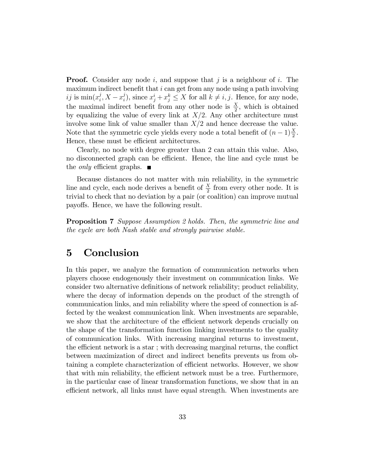**Proof.** Consider any node i, and suppose that j is a neighbour of i. The maximum indirect benefit that  $i$  can get from any node using a path involving ij is  $\min(x_i^j)$  $i, X - x_i^j$  $\mathbf{z}_i^j$ , since  $x_j^i + x_j^k \leq X$  for all  $k \neq i, j$ . Hence, for any node, the maximal indirect benefit from any other node is  $\frac{X}{2}$ , which is obtained by equalizing the value of every link at  $X/2$ . Any other architecture must involve some link of value smaller than  $X/2$  and hence decrease the value. Note that the symmetric cycle yields every node a total benefit of  $(n-1)\frac{X}{2}$ . Hence, these must be efficient architectures.

Clearly, no node with degree greater than 2 can attain this value. Also, no disconnected graph can be efficient. Hence, the line and cycle must be the *only* efficient graphs.  $\blacksquare$ 

Because distances do not matter with min reliability, in the symmetric line and cycle, each node derives a benefit of  $\frac{X}{2}$  from every other node. It is trivial to check that no deviation by a pair (or coalition) can improve mutual payoffs. Hence, we have the following result.

Proposition 7 Suppose Assumption 2 holds. Then, the symmetric line and the cycle are both Nash stable and strongly pairwise stable.

# 5 Conclusion

In this paper, we analyze the formation of communication networks when players choose endogenously their investment on communication links. We consider two alternative definitions of network reliability; product reliability, where the decay of information depends on the product of the strength of communication links, and min reliability where the speed of connection is affected by the weakest communication link. When investments are separable, we show that the architecture of the efficient network depends crucially on the shape of the transformation function linking investments to the quality of communication links. With increasing marginal returns to investment, the efficient network is a star; with decreasing marginal returns, the conflict between maximization of direct and indirect benefits prevents us from obtaining a complete characterization of efficient networks. However, we show that with min reliability, the efficient network must be a tree. Furthermore, in the particular case of linear transformation functions, we show that in an efficient network, all links must have equal strength. When investments are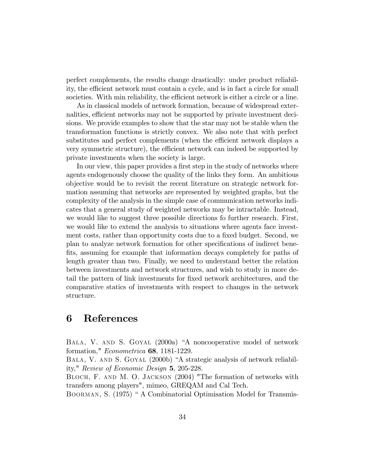perfect complements, the results change drastically: under product reliability, the efficient network must contain a cycle, and is in fact a circle for small societies. With min reliability, the efficient network is either a circle or a line.

As in classical models of network formation, because of widespread externalities, efficient networks may not be supported by private investment deci-sions. We provide examples to show that the star may not be stable when the transformation functions is strictly convex. We also note that with perfect substitutes and perfect complements (when the efficient network displays a very symmetric structure), the efficient network can indeed be supported by private investments when the society is large.

In our view, this paper provides a first step in the study of networks where agents endogenously choose the quality of the links they form. An ambitious objective would be to revisit the recent literature on strategic network formation assuming that networks are represented by weighted graphs, but the complexity of the analysis in the simple case of communication networks indicates that a general study of weighted networks may be intractable. Instead, we would like to suggest three possible directions fo further research. First, we would like to extend the analysis to situations where agents face investment costs, rather than opportunity costs due to a fixed budget. Second, we plan to analyze network formation for other specifications of indirect benefits, assuming for example that information decays completely for paths of length greater than two. Finally, we need to understand better the relation between investments and network structures, and wish to study in more detail the pattern of link investments for Öxed network architectures, and the comparative statics of investments with respect to changes in the network structure.

## 6 References

BALA, V. AND S. GOYAL (2000a) "A noncooperative model of network formation," Econometrica 68, 1181-1229.

BALA, V. AND S. GOYAL (2000b) "A strategic analysis of network reliability," Review of Economic Design 5, 205-228.

BLOCH, F. AND M. O. JACKSON (2004) "The formation of networks with transfers among players", mimeo, GREQAM and Cal Tech.

BOORMAN, S. (1975) " A Combinatorial Optimisation Model for Transmis-